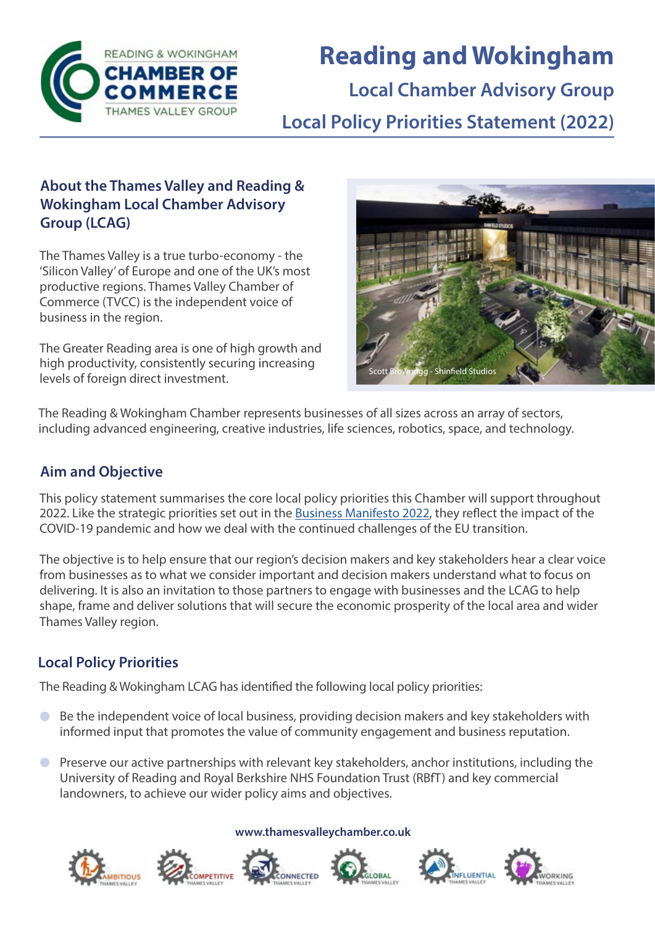

# **Reading and Wokingham**

**Local Chamber Advisory Group**

**Local Policy Priorities Statement (2022)**

### **About the Thames Valley and Reading & Wokingham Local Chamber Advisory Group (LCAG)**

The Thames Valley is a true turbo-economy - the 'Silicon Valley' of Europe and one of the UK's most productive regions. Thames Valley Chamber of Commerce (TVCC) is the independent voice of business in the region.

The Greater Reading area is one of high growth and high productivity, consistently securing increasing levels of foreign direct investment.



The Reading & Wokingham Chamber represents businesses of all sizes across an array of sectors, including advanced engineering, creative industries, life sciences, robotics, space, and technology.

# **Aim and Objective**

This policy statement summarises the core local policy priorities this Chamber will support throughout 2022. Like the strategic priorities set out in the [Business Manifesto 2022](https://www.thamesvalleychamber.co.uk/wp-content/uploads/2021/11/Business-Manifesto-2022-Final-Draft.pdf), they reflect the impact of the COVID-19 pandemic and how we deal with the continued challenges of the EU transition.

The objective is to help ensure that our region's decision makers and key stakeholders hear a clear voice from businesses as to what we consider important and decision makers understand what to focus on delivering. It is also an invitation to those partners to engage with businesses and the LCAG to help shape, frame and deliver solutions that will secure the economic prosperity of the local area and wider Thames Valley region.

# **Local Policy Priorities**

The Reading & Wokingham LCAG has identified the following local policy priorities:

- Be the independent voice of local business, providing decision makers and key stakeholders with  $\bullet$ informed input that promotes the value of community engagement and business reputation.
- Preserve our active partnerships with relevant key stakeholders, anchor institutions, including the University of Reading and Royal Berkshire NHS Foundation Trust (RBfT) and key commercial landowners, to achieve our wider policy aims and objectives.



#### **www.thamesvalleychamber.co.uk**



**MPETITIVE** 





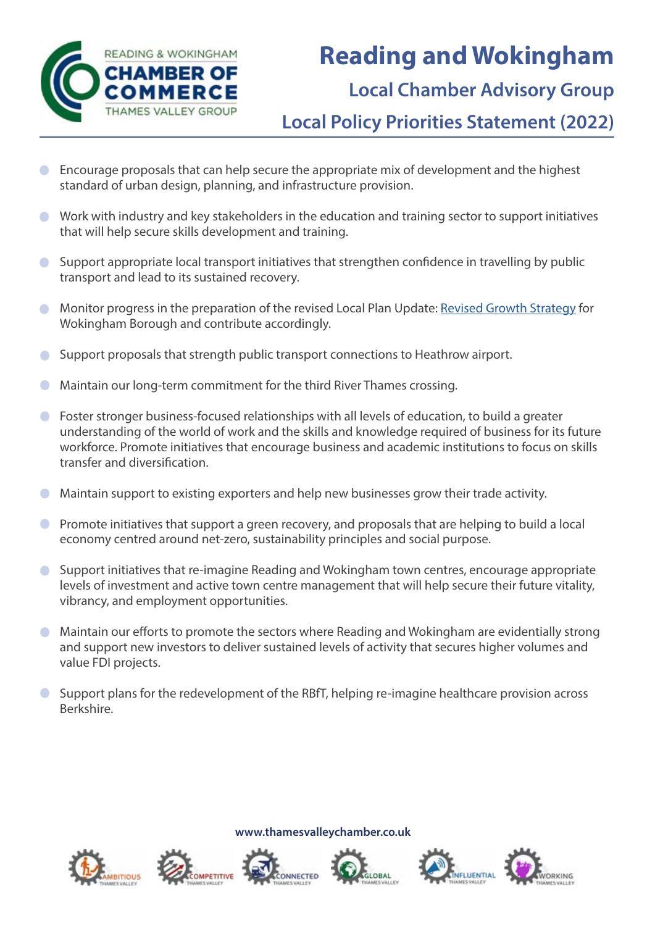

# **Reading and Wokingham**

# **Local Chamber Advisory Group**

**Local Policy Priorities Statement (2022)**

- Encourage proposals that can help secure the appropriate mix of development and the highest  $\Box$ standard of urban design, planning, and infrastructure provision.
- Work with industry and key stakeholders in the education and training sector to support initiatives that will help secure skills development and training.
- Support appropriate local transport initiatives that strengthen confidence in travelling by public transport and lead to its sustained recovery.
- Monitor progress in the preparation of the revised Local Plan Update: [Revised Growth Strategy](file://C:\\Users\garethralphs\Downloads\LPU Revised Growth Strategy November 2021.pdf) for  $\bullet$ Wokingham Borough and contribute accordingly.
- Support proposals that strength public transport connections to Heathrow airport.  $\Box$
- Maintain our long-term commitment for the third River Thames crossing.  $\Box$
- Foster stronger business-focused relationships with all levels of education, to build a greater  $\bullet$ understanding of the world of work and the skills and knowledge required of business for its future workforce. Promote initiatives that encourage business and academic institutions to focus on skills transfer and diversification.
- Maintain support to existing exporters and help new businesses grow their trade activity.  $\bullet$
- **•** Promote initiatives that support a green recovery, and proposals that are helping to build a local economy centred around net-zero, sustainability principles and social purpose.
- Support initiatives that re-imagine Reading and Wokingham town centres, encourage appropriate  $\bullet$ levels of investment and active town centre management that will help secure their future vitality, vibrancy, and employment opportunities.
- Maintain our efforts to promote the sectors where Reading and Wokingham are evidentially strong  $\bullet$ and support new investors to deliver sustained levels of activity that secures higher volumes and value FDI projects.
- Support plans for the redevelopment of the RBfT, helping re-imagine healthcare provision across  $\bullet$ Berkshire.







OMPETITIVE